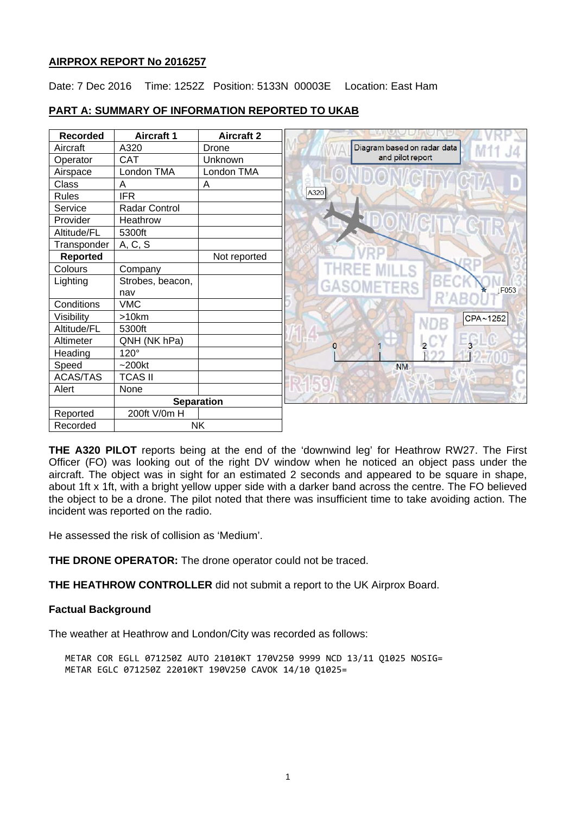## **AIRPROX REPORT No 2016257**

Date: 7 Dec 2016 Time: 1252Z Position: 5133N 00003E Location: East Ham



# **PART A: SUMMARY OF INFORMATION REPORTED TO UKAB**

**THE A320 PILOT** reports being at the end of the 'downwind leg' for Heathrow RW27. The First Officer (FO) was looking out of the right DV window when he noticed an object pass under the aircraft. The object was in sight for an estimated 2 seconds and appeared to be square in shape, about 1ft x 1ft, with a bright yellow upper side with a darker band across the centre. The FO believed the object to be a drone. The pilot noted that there was insufficient time to take avoiding action. The incident was reported on the radio.

He assessed the risk of collision as 'Medium'.

**THE DRONE OPERATOR:** The drone operator could not be traced.

**THE HEATHROW CONTROLLER** did not submit a report to the UK Airprox Board.

# **Factual Background**

The weather at Heathrow and London/City was recorded as follows:

METAR COR EGLL 071250Z AUTO 21010KT 170V250 9999 NCD 13/11 Q1025 NOSIG= METAR EGLC 071250Z 22010KT 190V250 CAVOK 14/10 Q1025=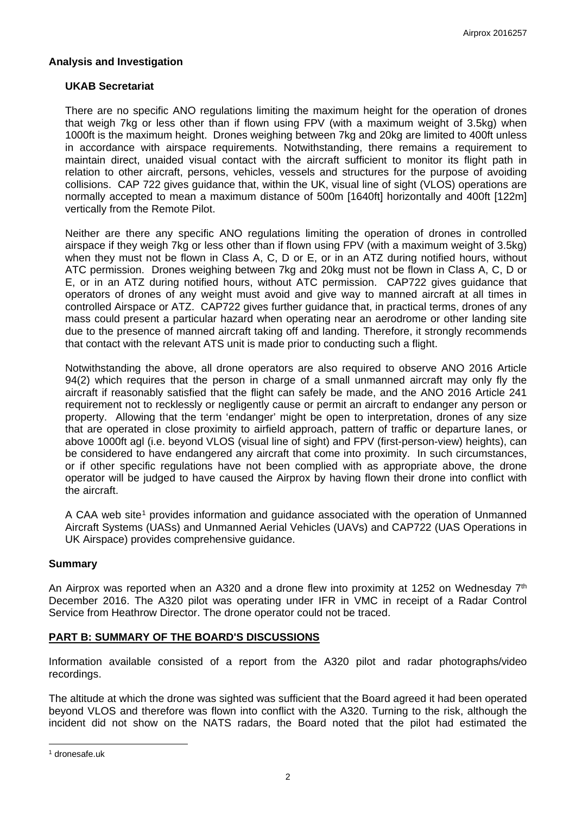## **Analysis and Investigation**

## **UKAB Secretariat**

There are no specific ANO regulations limiting the maximum height for the operation of drones that weigh 7kg or less other than if flown using FPV (with a maximum weight of 3.5kg) when 1000ft is the maximum height. Drones weighing between 7kg and 20kg are limited to 400ft unless in accordance with airspace requirements. Notwithstanding, there remains a requirement to maintain direct, unaided visual contact with the aircraft sufficient to monitor its flight path in relation to other aircraft, persons, vehicles, vessels and structures for the purpose of avoiding collisions. CAP 722 gives guidance that, within the UK, visual line of sight (VLOS) operations are normally accepted to mean a maximum distance of 500m [1640ft] horizontally and 400ft [122m] vertically from the Remote Pilot.

Neither are there any specific ANO regulations limiting the operation of drones in controlled airspace if they weigh 7kg or less other than if flown using FPV (with a maximum weight of 3.5kg) when they must not be flown in Class A, C, D or E, or in an ATZ during notified hours, without ATC permission. Drones weighing between 7kg and 20kg must not be flown in Class A, C, D or E, or in an ATZ during notified hours, without ATC permission. CAP722 gives guidance that operators of drones of any weight must avoid and give way to manned aircraft at all times in controlled Airspace or ATZ. CAP722 gives further guidance that, in practical terms, drones of any mass could present a particular hazard when operating near an aerodrome or other landing site due to the presence of manned aircraft taking off and landing. Therefore, it strongly recommends that contact with the relevant ATS unit is made prior to conducting such a flight.

Notwithstanding the above, all drone operators are also required to observe ANO 2016 Article 94(2) which requires that the person in charge of a small unmanned aircraft may only fly the aircraft if reasonably satisfied that the flight can safely be made, and the ANO 2016 Article 241 requirement not to recklessly or negligently cause or permit an aircraft to endanger any person or property. Allowing that the term 'endanger' might be open to interpretation, drones of any size that are operated in close proximity to airfield approach, pattern of traffic or departure lanes, or above 1000ft agl (i.e. beyond VLOS (visual line of sight) and FPV (first-person-view) heights), can be considered to have endangered any aircraft that come into proximity. In such circumstances, or if other specific regulations have not been complied with as appropriate above, the drone operator will be judged to have caused the Airprox by having flown their drone into conflict with the aircraft.

A CAA web site<sup>[1](#page-1-0)</sup> provides information and guidance associated with the operation of Unmanned Aircraft Systems (UASs) and Unmanned Aerial Vehicles (UAVs) and CAP722 (UAS Operations in UK Airspace) provides comprehensive guidance.

#### **Summary**

An Airprox was reported when an A320 and a drone flew into proximity at 1252 on Wednesday  $7<sup>th</sup>$ December 2016. The A320 pilot was operating under IFR in VMC in receipt of a Radar Control Service from Heathrow Director. The drone operator could not be traced.

# **PART B: SUMMARY OF THE BOARD'S DISCUSSIONS**

Information available consisted of a report from the A320 pilot and radar photographs/video recordings.

The altitude at which the drone was sighted was sufficient that the Board agreed it had been operated beyond VLOS and therefore was flown into conflict with the A320. Turning to the risk, although the incident did not show on the NATS radars, the Board noted that the pilot had estimated the

 $\overline{a}$ 

<span id="page-1-0"></span><sup>1</sup> dronesafe.uk